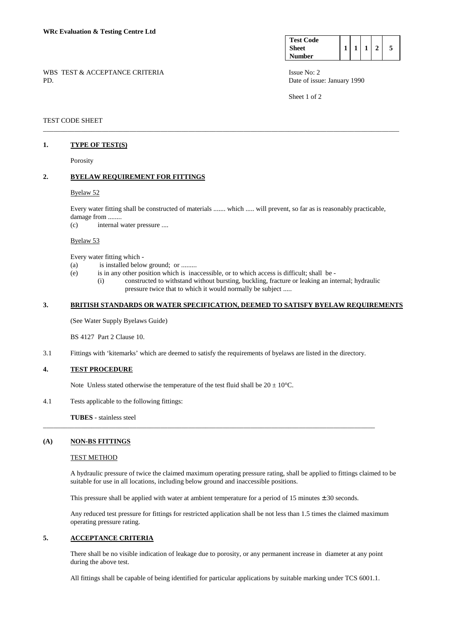| <b>Test Code</b> |  |  |  |
|------------------|--|--|--|
| <b>Sheet</b>     |  |  |  |
| <b>Number</b>    |  |  |  |

Sheet 1 of 2

# TEST CODE SHEET

# **1. TYPE OF TEST(S)**

Porosity

## **2. BYELAW REQUIREMENT FOR FITTINGS**

### Byelaw 52

 Every water fitting shall be constructed of materials ....... which ..... will prevent, so far as is reasonably practicable, damage from ........

\_\_\_\_\_\_\_\_\_\_\_\_\_\_\_\_\_\_\_\_\_\_\_\_\_\_\_\_\_\_\_\_\_\_\_\_\_\_\_\_\_\_\_\_\_\_\_\_\_\_\_\_\_\_\_\_\_\_\_\_\_\_\_\_\_\_\_\_\_\_\_\_\_\_\_\_\_\_\_\_\_\_\_\_\_\_\_\_\_\_\_\_\_\_\_\_\_\_\_\_\_\_\_

(c) internal water pressure ....

### Byelaw 53

Every water fitting which -

- (a) is installed below ground; or .........
- (e) is in any other position which is inaccessible, or to which access is difficult; shall be
	- (i) constructed to withstand without bursting, buckling, fracture or leaking an internal; hydraulic pressure twice that to which it would normally be subject .....

# **3. BRITISH STANDARDS OR WATER SPECIFICATION, DEEMED TO SATISFY BYELAW REQUIREMENTS**

(See Water Supply Byelaws Guide)

BS 4127 Part 2 Clause 10.

3.1 Fittings with 'kitemarks' which are deemed to satisfy the requirements of byelaws are listed in the directory.

# **4. TEST PROCEDURE**

Note Unless stated otherwise the temperature of the test fluid shall be  $20 \pm 10^{\circ}$ C.

4.1 Tests applicable to the following fittings:

**TUBES** - stainless steel

### **(A) NON-BS FITTINGS**

#### TEST METHOD

 A hydraulic pressure of twice the claimed maximum operating pressure rating, shall be applied to fittings claimed to be suitable for use in all locations, including below ground and inaccessible positions.

This pressure shall be applied with water at ambient temperature for a period of 15 minutes  $\pm$  30 seconds.

\_\_\_\_\_\_\_\_\_\_\_\_\_\_\_\_\_\_\_\_\_\_\_\_\_\_\_\_\_\_\_\_\_\_\_\_\_\_\_\_\_\_\_\_\_\_\_\_\_\_\_\_\_\_\_\_\_\_\_\_\_\_\_\_\_\_\_\_\_\_\_\_\_\_\_\_\_\_\_\_\_\_\_\_\_\_\_\_\_\_\_\_\_\_\_\_

 Any reduced test pressure for fittings for restricted application shall be not less than 1.5 times the claimed maximum operating pressure rating.

# **5. ACCEPTANCE CRITERIA**

 There shall be no visible indication of leakage due to porosity, or any permanent increase in diameter at any point during the above test.

All fittings shall be capable of being identified for particular applications by suitable marking under TCS 6001.1.

# WBS TEST & ACCEPTANCE CRITERIA ISSUE No: 2 PD. Date of issue: January 1990